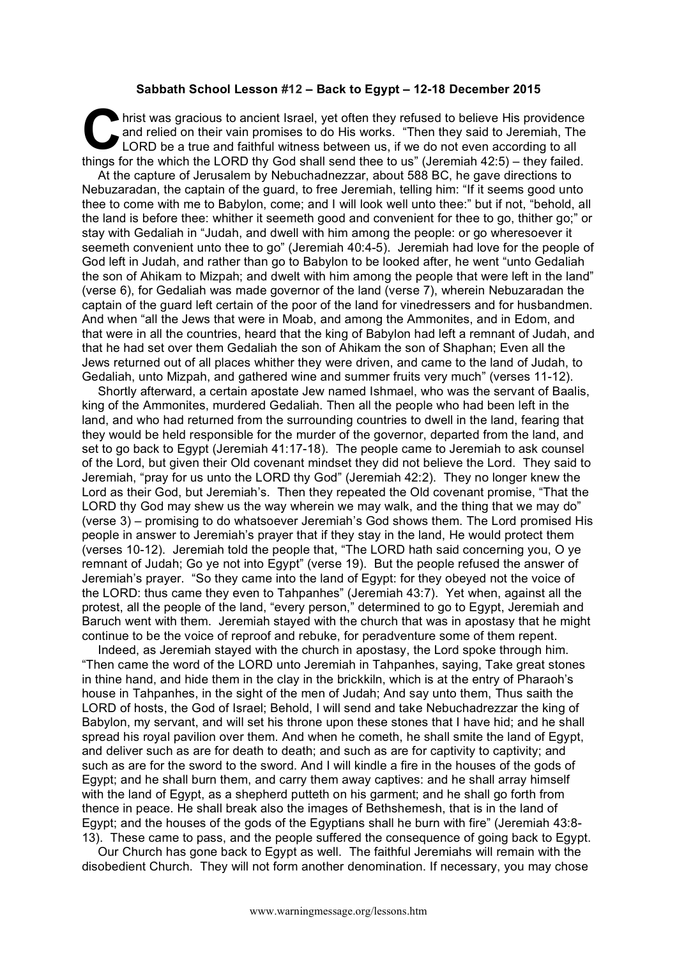## **Sabbath School Lesson #12 – Back to Egypt – 12-18 December 2015**

hrist was gracious to ancient Israel, yet often they refused to believe His providence<br>and relied on their vain promises to do His works. "Then they said to Jeremiah, The<br>LORD be a true and faithful witness between us, if and relied on their vain promises to do His works. "Then they said to Jeremiah, The LORD be a true and faithful witness between us, if we do not even according to all things for the which the LORD thy God shall send thee to us" (Jeremiah 42:5) – they failed.

At the capture of Jerusalem by Nebuchadnezzar, about 588 BC, he gave directions to Nebuzaradan, the captain of the guard, to free Jeremiah, telling him: "If it seems good unto thee to come with me to Babylon, come; and I will look well unto thee:" but if not, "behold, all the land is before thee: whither it seemeth good and convenient for thee to go, thither go;" or stay with Gedaliah in "Judah, and dwell with him among the people: or go wheresoever it seemeth convenient unto thee to go" (Jeremiah 40:4-5). Jeremiah had love for the people of God left in Judah, and rather than go to Babylon to be looked after, he went "unto Gedaliah the son of Ahikam to Mizpah; and dwelt with him among the people that were left in the land" (verse 6), for Gedaliah was made governor of the land (verse 7), wherein Nebuzaradan the captain of the guard left certain of the poor of the land for vinedressers and for husbandmen. And when "all the Jews that were in Moab, and among the Ammonites, and in Edom, and that were in all the countries, heard that the king of Babylon had left a remnant of Judah, and that he had set over them Gedaliah the son of Ahikam the son of Shaphan; Even all the Jews returned out of all places whither they were driven, and came to the land of Judah, to Gedaliah, unto Mizpah, and gathered wine and summer fruits very much" (verses 11-12).

Shortly afterward, a certain apostate Jew named Ishmael, who was the servant of Baalis, king of the Ammonites, murdered Gedaliah. Then all the people who had been left in the land, and who had returned from the surrounding countries to dwell in the land, fearing that they would be held responsible for the murder of the governor, departed from the land, and set to go back to Egypt (Jeremiah 41:17-18). The people came to Jeremiah to ask counsel of the Lord, but given their Old covenant mindset they did not believe the Lord. They said to Jeremiah, "pray for us unto the LORD thy God" (Jeremiah 42:2). They no longer knew the Lord as their God, but Jeremiah's. Then they repeated the Old covenant promise, "That the LORD thy God may shew us the way wherein we may walk, and the thing that we may do" (verse 3) – promising to do whatsoever Jeremiah's God shows them. The Lord promised His people in answer to Jeremiah's prayer that if they stay in the land, He would protect them (verses 10-12). Jeremiah told the people that, "The LORD hath said concerning you, O ye remnant of Judah; Go ye not into Egypt" (verse 19). But the people refused the answer of Jeremiah's prayer. "So they came into the land of Egypt: for they obeyed not the voice of the LORD: thus came they even to Tahpanhes" (Jeremiah 43:7). Yet when, against all the protest, all the people of the land, "every person," determined to go to Egypt, Jeremiah and Baruch went with them. Jeremiah stayed with the church that was in apostasy that he might continue to be the voice of reproof and rebuke, for peradventure some of them repent.

Indeed, as Jeremiah stayed with the church in apostasy, the Lord spoke through him. "Then came the word of the LORD unto Jeremiah in Tahpanhes, saying, Take great stones in thine hand, and hide them in the clay in the brickkiln, which is at the entry of Pharaoh's house in Tahpanhes, in the sight of the men of Judah; And say unto them, Thus saith the LORD of hosts, the God of Israel; Behold, I will send and take Nebuchadrezzar the king of Babylon, my servant, and will set his throne upon these stones that I have hid; and he shall spread his royal pavilion over them. And when he cometh, he shall smite the land of Egypt, and deliver such as are for death to death; and such as are for captivity to captivity; and such as are for the sword to the sword. And I will kindle a fire in the houses of the gods of Egypt; and he shall burn them, and carry them away captives: and he shall array himself with the land of Egypt, as a shepherd putteth on his garment; and he shall go forth from thence in peace. He shall break also the images of Bethshemesh, that is in the land of Egypt; and the houses of the gods of the Egyptians shall he burn with fire" (Jeremiah 43:8- 13). These came to pass, and the people suffered the consequence of going back to Egypt.

Our Church has gone back to Egypt as well. The faithful Jeremiahs will remain with the disobedient Church. They will not form another denomination. If necessary, you may chose